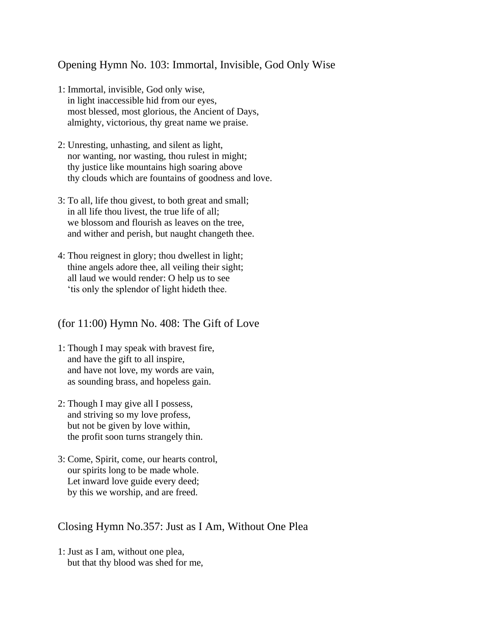## Opening Hymn No. 103: Immortal, Invisible, God Only Wise

- 1: Immortal, invisible, God only wise, in light inaccessible hid from our eyes, most blessed, most glorious, the Ancient of Days, almighty, victorious, thy great name we praise.
- 2: Unresting, unhasting, and silent as light, nor wanting, nor wasting, thou rulest in might; thy justice like mountains high soaring above thy clouds which are fountains of goodness and love.
- 3: To all, life thou givest, to both great and small; in all life thou livest, the true life of all; we blossom and flourish as leaves on the tree, and wither and perish, but naught changeth thee.
- 4: Thou reignest in glory; thou dwellest in light; thine angels adore thee, all veiling their sight; all laud we would render: O help us to see 'tis only the splendor of light hideth thee.

(for 11:00) Hymn No. 408: The Gift of Love

- 1: Though I may speak with bravest fire, and have the gift to all inspire, and have not love, my words are vain, as sounding brass, and hopeless gain.
- 2: Though I may give all I possess, and striving so my love profess, but not be given by love within, the profit soon turns strangely thin.
- 3: Come, Spirit, come, our hearts control, our spirits long to be made whole. Let inward love guide every deed; by this we worship, and are freed.

## Closing Hymn No.357: Just as I Am, Without One Plea

1: Just as I am, without one plea, but that thy blood was shed for me,